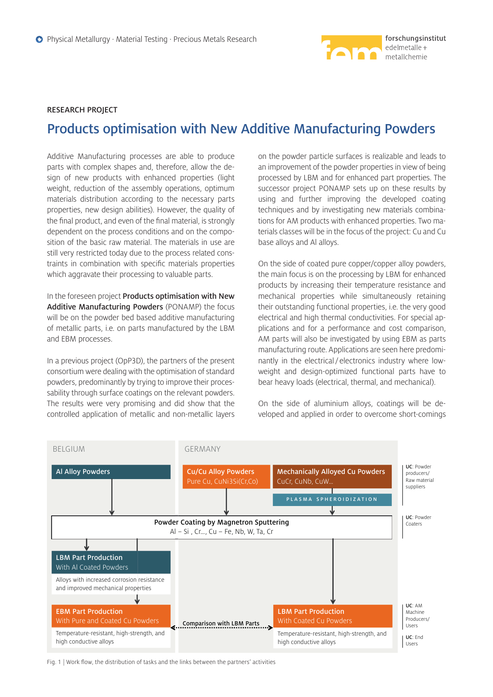

# **RESEARCH PROJECT**

# **Products optimisation with New Additive Manufacturing Powders**

Additive Manufacturing processes are able to produce parts with complex shapes and, therefore, allow the design of new products with enhanced properties (light weight, reduction of the assembly operations, optimum materials distribution according to the necessary parts properties, new design abilities). However, the quality of the final product, and even of the final material, is strongly dependent on the process conditions and on the composition of the basic raw material. The materials in use are still very restricted today due to the process related constraints in combination with specific materials properties which aggravate their processing to valuable parts.

In the foreseen project **Products optimisation with New Additive Manufacturing Powders** (PONAMP) the focus will be on the powder bed based additive manufacturing of metallic parts, i.e. on parts manufactured by the LBM and EBM processes.

In a previous project (OpP3D), the partners of the present consortium were dealing with the optimisation of standard powders, predominantly by trying to improve their processability through surface coatings on the relevant powders. The results were very promising and did show that the controlled application of metallic and non-metallic layers on the powder particle surfaces is realizable and leads to an improvement of the powder properties in view of being processed by LBM and for enhanced part properties. The successor project PONAMP sets up on these results by using and further improving the developed coating techniques and by investigating new materials combinations for AM products with enhanced properties. Two materials classes will be in the focus of the project: Cu and Cu base alloys and Al alloys.

On the side of coated pure copper/copper alloy powders, the main focus is on the processing by LBM for enhanced products by increasing their temperature resistance and mechanical properties while simultaneously retaining their outstanding functional properties, i.e. the very good electrical and high thermal conductivities. For special applications and for a performance and cost comparison, AM parts will also be investigated by using EBM as parts manufacturing route. Applications are seen here predominantly in the electrical / electronics industry where lowweight and design-optimized functional parts have to bear heavy loads (electrical, thermal, and mechanical).

On the side of aluminium alloys, coatings will be developed and applied in order to overcome short-comings



Fig. 1 | Work flow, the distribution of tasks and the links between the partners' activities